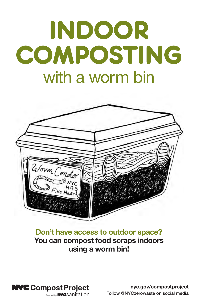# INDOOR COMPOSTING with a worm bin



### Don't have access to outdoor space? You can compost food scraps indoors using a worm bin!



nyc.gov/compostproject Follow @NYCzerowaste on social media

Funded by **NYC** Sanitation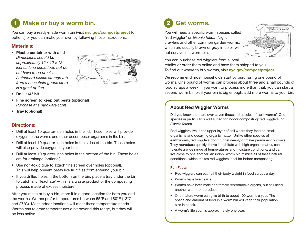# 1 Make or buy a worm bin. (2)

You can buy a ready-made worm bin (visit nyc.gov/compostproject for options) or you can make your own by following these instructions.

#### Materials:

*•* Plastic container with a lid *Dimensions should be approximately 12 x 12 x 12 inches (one cubic foot) but do not have to be precise. A standard plastic storage tub from a household goods store is a great option.*



- *•* Drill, 1/4" bit
- Fine screen to keep out pests (optional) *Purchase at a hardware store.*
- Tray (optional)

#### Directions:

- Drill at least 10 quarter-inch holes in the lid. These holes will provide oxygen to the worms and other decomposer organisms in the bin.
- Drill at least 10 quarter-inch holes in the sides of the bin. These holes will also provide oxygen in your bin.
- Drill at least 10 quarter-inch holes in the bottom of the bin. These holes are for drainage (optional).
- Use non-toxic glue to attach fine screen over holes (optional). This will help prevent pests like fruit flies from entering your bin.
- If you drilled holes in the bottom on the bin, place a tray under the bin to catch any "leachate"—this is a waste product of the composting process made of excess moisture.

After you make or buy a bin, store it in a good location for both you and the worms. Worms prefer temperatures between 55°F and 80°F (13°C and 27°C). Most indoor locations will meet these temperature needs. Worms can tolerate temperatures a bit beyond this range, but they will be less active.

# Get worms.

You will need a specific worm species called "red wiggler" or *Eisenia fetida*. Night crawlers and other common garden worms, which are usually brown or gray in color, will not survive in a worm bin.



You can purchase red wigglers from a local retailer or order them online and have them shipped to you. To find out where to buy worms, visit nyc.gov/compostproject.

We recommend most households start by purchasing one pound of worms. One pound of worms can process about three and a half pounds of food scraps a week. If you want to process more than that, you can start a second worm bin or, if your bin is big enough, add more worms to your bin.

#### About Red Wiggler Worms

Did you know there are over seven thousand species of earthworms? One species in particular is well suited for indoor composting: red wigglers (or *Eisenia fetida*).

Red wigglers live in the upper layer of soil where they feed on small organisms and decaying organic matter. Unlike other species of earthworms, red wigglers don't tunnel deeply or make permanent burrows. They reproduce quickly, thrive in habitats with high organic matter, can tolerate a wide range of temperatures and moisture conditions, and can live close to one another. An indoor worm bin mimics all of these natural conditions, which makes red wigglers ideal for indoor composting.

#### Fun Facts

- Red wigglers can eat half their body weight in food scraps a day.
- Worms have five hearts.
- Worms have both male and female reproductive organs, but still need another worm to reproduce.
- One mature worm can give birth to about 100 worms a year. The space and amount of food in a worm bin will keep their population size in check.
- A worm's life span is approximately one year.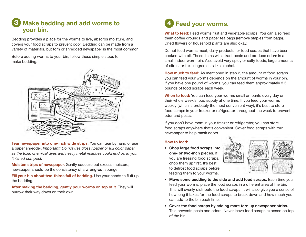## 3 Make bedding and add worms to  $\sqrt{4}$ your bin.

Bedding provides a place for the worms to live, absorbs moisture, and covers your food scraps to prevent odor. Bedding can be made from a variety of materials, but torn or shredded newspaper is the most common.

Before adding worms to your bin, follow these simple steps to make bedding.



Tear newspaper into one-inch wide strips. You can tear by hand or use a paper shredder. *Important: Do not use glossy paper or full color paper as the toxic chemical dyes and heavy metal residues could end up in your finished compost.*

Moisten strips of newspaper. Gently squeeze out excess moisture; newspaper should be the consistency of a wrung-out sponge.

Fill your bin about two-thirds full of bedding. Use your hands to fluff up the bedding.

After making the bedding, gently pour worms on top of it. They will burrow their way down on their own.

# Feed your worms.

What to feed: Feed worms fruit and vegetable scraps. You can also feed them coffee grounds and paper tea bags (remove staples from bags). Dried flowers or household plants are also okay.

Do not feed worms meat, dairy products, or food scraps that have been cooked with oil. These items will attract pests and produce odors in a small indoor worm bin. Also avoid very spicy or salty foods, large amounts of citrus, or toxic ingredients like alcohol.

How much to feed: As mentioned in step 2, the amount of food scraps you can feed your worms depends on the amount of worms in your bin. If you have one pound of worms, you can feed them approximately 3.5 pounds of food scraps each week.

When to feed: You can feed your worms small amounts every day or their whole week's food supply at one time. If you feed your worms weekly (which is probably the most convenient way), it's best to store food scraps in your freezer or refrigerator throughout the week to prevent odor and pests.

If you don't have room in your freezer or refrigerator, you can store food scraps anywhere that's convenient. Cover food scraps with torn newspaper to help mask odors.

#### How to feed:

• Chop large food scraps into one- or two-inch pieces. If you are freezing food scraps, chop them up first. It's best to defrost food scraps before feeding them to your worms.



- Move some bedding to the side and add food scraps. Each time you feed your worms, place the food scraps in a different area of the bin. This will evenly distribute the food scraps. It will also give you a sense of how long it takes for the food scraps to break down and how much you can add to the bin each time.
- Cover the food scraps by adding more torn up newspaper strips. This prevents pests and odors. Never leave food scraps exposed on top of the bin.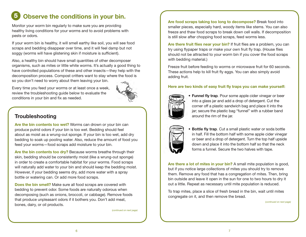#### Observe the conditions in your bin. 5

Monitor your worm bin regularly to make sure you are providing healthy living conditions for your worms and to avoid problems with pests or odors.

If your worm bin is healthy, it will smell earthy like soil, you will see food scraps and bedding disappear over time, and it will feel damp but not soggy (worms will have glistening skin if moisture is sufficient).

Also, a healthy bin should have small quantities of other decomposer organisms, such as mites or little white worms. It's actually a good thing to have controlled populations of these and other insects—they help with the decomposition process. Compost critters want to stay where the food is so you don't need to worry about them leaving your bin.

Every time you feed your worms or at least once a week, review the troubleshooting guide below to evaluate the conditions in your bin and fix as needed.



### **Troubleshooting**

Are the bin contents too wet? Worms can drown or your bin can produce putrid odors if your bin is too wet. Bedding should feel about as moist as a wrung-out sponge. If your bin is too wet, add dry bedding to soak up pooling water. Also, reduce the amount of food you feed your worms—food scraps add moisture to your bin.

Are the bin contents too dry? Because worms breathe through their skin, bedding should be consistently moist (like a wrung-out sponge) in order to create a comfortable habitat for your worms. Food scraps will naturally add water to your bin and should keep the bedding moist. However, if your bedding seems dry, add more water with a spray bottle or watering can. Or add more food scraps.

Does the bin smell? Make sure all food scraps are covered with bedding to prevent odor. Some foods are naturally odorous when decomposing (such as onions, broccoli, or cabbage). Remove foods that produce unpleasant odors if it bothers you. Don't add meat, bones, dairy, or oil products.

(*continued on next page)*

Are food scraps taking too long to decompose? Break food into smaller pieces, especially hard, woody items like stems. You can also freeze and thaw food scraps to break down cell walls. If decomposition is still slow after chopping food scraps, feed worms less.

Are there fruit flies near your bin? If fruit flies are a problem, you can try using flypaper traps or make your own fruit fly trap. (House flies should not be attracted to your worm bin if you cover the food scraps with bedding material.)

Freeze fruit before feeding to worms or microwave fruit for 60 seconds. These actions help to kill fruit fly eggs. You can also simply avoid adding fruit.

#### Here are two kinds of easy fruit fly traps you can make yourself:



• Funnel fly trap*.* Pour some apple cider vinegar or beer into a glass jar and add a drop of detergent. Cut the corner off a plastic sandwich bag and place it into the jar; secure the plastic bag "funnel" with a rubber band around the rim of the jar.



• Bottle fly trap*.* Cut a small plastic water or soda bottle in half. Fill the bottom half with some apple cider vinegar or beer and a drop of detergent. Turn the top half upside down and place it into the bottom half so that the neck forms a funnel. Secure the two halves with tape.

Are there a lot of mites in your bin? A small mite population is good, but if you notice large collections of mites you should try to remove them. Remove any food that has a congregation of mites. Then, bring bin outside and leave it open in the sun for one to two hours to dry it out a little. Repeat as necessary until mite population is reduced.

To trap mites, place a slice of fresh bread in the bin, wait until mites congregate on it, and then remove the bread.

(*continued on next page)*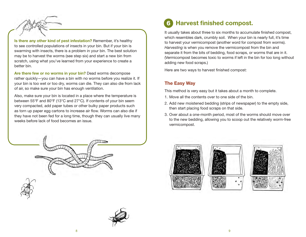

Is there any other kind of pest infestation? Remember, it's healthy to see controlled populations of insects in your bin. But if your bin is swarming with insects, there is a problem in your bin. The best solution may be to harvest the worms (see step six) and start a new bin from scratch, using what you've learned from your experience to create a better bin.

Are there few or no worms in your bin? Dead worms decompose rather quickly—you can have a bin with no worms before you realize it. If your bin is too wet or too dry, worms can die. They can also die from lack of air, so make sure your bin has enough ventilation.

Also, make sure your bin is located in a place where the temperature is between 55°F and 80°F (13°C and 27°C). If contents of your bin seem very compacted, add paper tubes or other bulky paper products such as torn up paper egg cartons to increase air flow. Worms can also die if they have not been fed for a long time, though they can usually live many weeks before lack of food becomes an issue.



It usually takes about three to six months to accumulate finished compost, which resembles dark, crumbly soil. When your bin is nearly full, it's time to harvest your vermicompost (another word for compost from worms). *Harvesting* is when you remove the vermicompost from the bin and separate it from the bits of bedding, food scraps, or worms that are in it. (Vermicompost becomes toxic to worms if left in the bin for too long without adding new food scraps.)

Here are two ways to harvest finished compost:

#### The Easy Way

This method is very easy but it takes about a month to complete.

- 1. Move all the contents over to one side of the bin.
- 2. Add new moistened bedding (strips of newspaper) to the empty side, then start placing food scraps on that side.
- 3. Over about a one-month period, most of the worms should move over to the new bedding, allowing you to scoop out the relatively worm-free vermicompost.







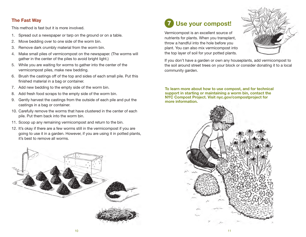#### The Fast Way

This method is fast but it is more involved.

- 1. Spread out a newspaper or tarp on the ground or on a table.
- 2. Move bedding over to one side of the worm bin.
- 3. Remove dark crumbly material from the worm bin.
- 4. Make small piles of vermicompost on the newspaper. (The worms will gather in the center of the piles to avoid bright light.)
- 5. While you are waiting for worms to gather into the center of the vermicompost piles, make new bedding.
- 6. Brush the castings off of the top and sides of each small pile. Put this finished material in a bag or container.
- 7. Add new bedding to the empty side of the worm bin.
- 8. Add fresh food scraps to the empty side of the worm bin.
- 9. Gently harvest the castings from the outside of each pile and put the castings in a bag or container.
- 10. Carefully remove the worms that have clustered in the center of each pile. Put them back into the worm bin.
- 11. Scoop up any remaining vermicompost and return to the bin.
- 12. It's okay if there are a few worms still in the vermicompost if you are going to use it in a garden. However, if you are using it in potted plants, it's best to remove all worms.



#### Use your compost! 7

Vermicompost is an excellent source of nutrients for plants. When you transplant, throw a handful into the hole before you plant. You can also mix vermicompost into the top layer of soil for your potted plants.



If you don't have a garden or own any houseplants, add vermicompost to the soil around street trees on your block or consider donating it to a local community garden.

To learn more about how to use compost, and for technical support in starting or maintaining a worm bin, contact the NYC Compost Project. Visit nyc.gov/compostproject for more information.